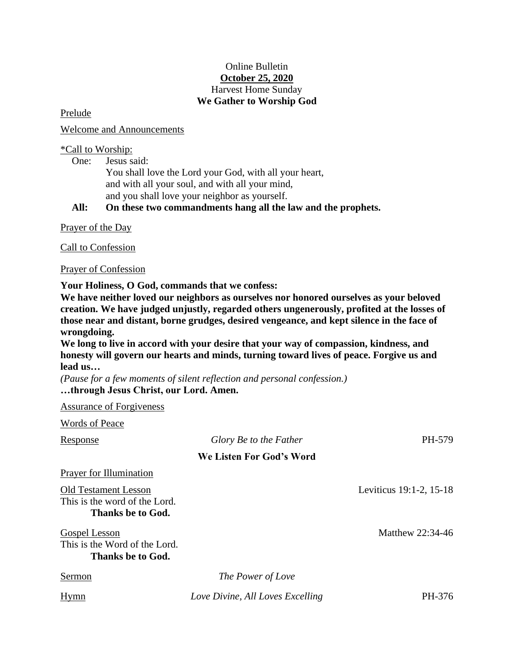# Online Bulletin **October 25, 2020** Harvest Home Sunday **We Gather to Worship God**

Prelude

Welcome and Announcements

# \*Call to Worship:

One: Jesus said:

You shall love the Lord your God, with all your heart, and with all your soul, and with all your mind, and you shall love your neighbor as yourself.

**All: On these two commandments hang all the law and the prophets.**

Prayer of the Day

Call to Confession

Prayer of Confession

**Your Holiness, O God, commands that we confess:** 

**We have neither loved our neighbors as ourselves nor honored ourselves as your beloved creation. We have judged unjustly, regarded others ungenerously, profited at the losses of those near and distant, borne grudges, desired vengeance, and kept silence in the face of wrongdoing.** 

**We long to live in accord with your desire that your way of compassion, kindness, and honesty will govern our hearts and minds, turning toward lives of peace. Forgive us and lead us…**

*(Pause for a few moments of silent reflection and personal confession.)* **…through Jesus Christ, our Lord. Amen.**

Assurance of Forgiveness

| <b>Words of Peace</b>                                                             |                                  |                         |
|-----------------------------------------------------------------------------------|----------------------------------|-------------------------|
| <b>Response</b>                                                                   | Glory Be to the Father           | PH-579                  |
|                                                                                   | We Listen For God's Word         |                         |
| <b>Prayer for Illumination</b>                                                    |                                  |                         |
| <b>Old Testament Lesson</b><br>This is the word of the Lord.<br>Thanks be to God. |                                  | Leviticus 19:1-2, 15-18 |
| Gospel Lesson<br>This is the Word of the Lord.<br>Thanks be to God.               |                                  | Matthew 22:34-46        |
| Sermon                                                                            | The Power of Love                |                         |
| <b>Hymn</b>                                                                       | Love Divine, All Loves Excelling | PH-376                  |